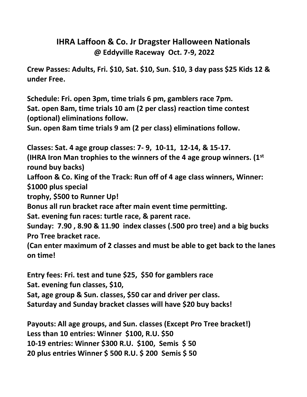## **IHRA Laffoon & Co. Jr Dragster Halloween Nationals @ Eddyville Raceway Oct. 7-9, 2022**

**Crew Passes: Adults, Fri. \$10, Sat. \$10, Sun. \$10, 3 day pass \$25 Kids 12 & under Free.**

**Schedule: Fri. open 3pm, time trials 6 pm, gamblers race 7pm. Sat. open 8am, time trials 10 am (2 per class) reaction time contest (optional) eliminations follow.**

**Sun. open 8am time trials 9 am (2 per class) eliminations follow.**

**Classes: Sat. 4 age group classes: 7- 9, 10-11, 12-14, & 15-17. (IHRA Iron Man trophies to the winners of the 4 age group winners. (1st round buy backs)**

**Laffoon & Co. King of the Track: Run off of 4 age class winners, Winner: \$1000 plus special** 

**trophy, \$500 to Runner Up!**

**Bonus all run bracket race after main event time permitting.**

**Sat. evening fun races: turtle race, & parent race.**

**Sunday: 7.90 , 8.90 & 11.90 index classes (.500 pro tree) and a big bucks Pro Tree bracket race.**

**(Can enter maximum of 2 classes and must be able to get back to the lanes on time!** 

**Entry fees: Fri. test and tune \$25, \$50 for gamblers race Sat. evening fun classes, \$10,** 

**Sat, age group & Sun. classes, \$50 car and driver per class. Saturday and Sunday bracket classes will have \$20 buy backs!** 

**Payouts: All age groups, and Sun. classes (Except Pro Tree bracket!) Less than 10 entries: Winner \$100, R.U. \$50 10-19 entries: Winner \$300 R.U. \$100, Semis \$ 50 20 plus entries Winner \$ 500 R.U. \$ 200 Semis \$ 50**